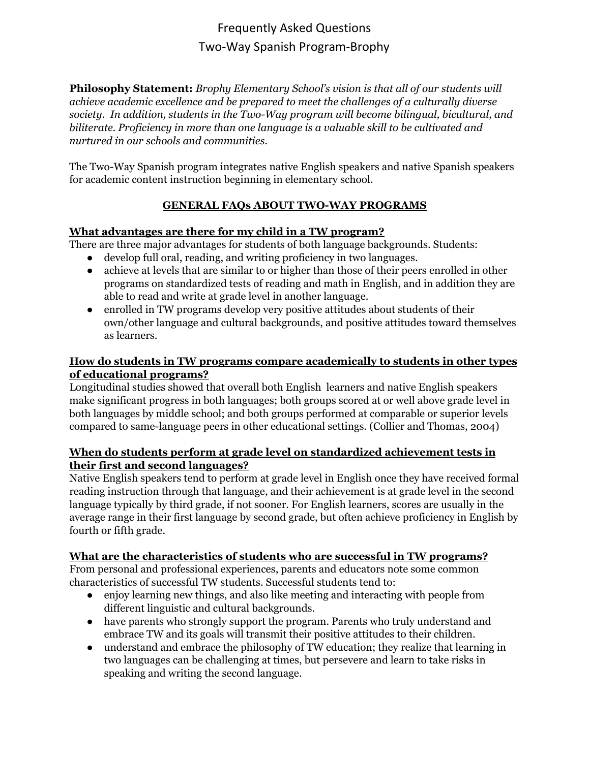**Philosophy Statement:** *Brophy Elementary School's vision is that all of our students will achieve academic excellence and be prepared to meet the challenges of a culturally diverse society. In addition, students in the Two-Way program will become bilingual, bicultural, and biliterate. Proficiency in more than one language is a valuable skill to be cultivated and nurtured in our schools and communities.*

The Two-Way Spanish program integrates native English speakers and native Spanish speakers for academic content instruction beginning in elementary school.

#### **GENERAL FAQs ABOUT TWO-WAY PROGRAMS**

#### **What [advantages](http://www.cal.org/twi/toolkit/PI/P_QA/parent_a1.htm) are there for my child in a TW program?**

There are three major advantages for students of both language backgrounds. Students:

- develop full oral, reading, and writing proficiency in two languages.
- achieve at levels that are similar to or higher than those of their peers enrolled in other programs on standardized tests of reading and math in English, and in addition they are able to read and write at grade level in another language.
- enrolled in TW programs develop very positive attitudes about students of their own/other language and cultural backgrounds, and positive attitudes toward themselves as learners.

#### **How do students in TW programs compare [academically](http://www.cal.org/twi/toolkit/PI/P_QA/parent_a2.htm) to students in other types of [educational](http://www.cal.org/twi/toolkit/PI/P_QA/parent_a2.htm) programs?**

Longitudinal studies showed that overall both English learners and native English speakers make significant progress in both languages; both groups scored at or well above grade level in both languages by middle school; and both groups performed at comparable or superior levels compared to same-language peers in other educational settings. (Collier and Thomas, 2004)

#### **When do students perform at grade level on [standardized](http://www.cal.org/twi/toolkit/PI/P_QA/parent_a3.htm) achievement tests in their first and second [languages?](http://www.cal.org/twi/toolkit/PI/P_QA/parent_a3.htm)**

Native English speakers tend to perform at grade level in English once they have received formal reading instruction through that language, and their achievement is at grade level in the second language typically by third grade, if not sooner. For English learners, scores are usually in the average range in their first language by second grade, but often achieve proficiency in English by fourth or fifth grade.

#### **What are the [characteristics](http://www.cal.org/twi/toolkit/PI/P_QA/parent_a5.htm) of students who are successful in TW programs?**

From personal and professional experiences, parents and educators note some common characteristics of successful TW students. Successful students tend to:

- enjoy learning new things, and also like meeting and interacting with people from different linguistic and cultural backgrounds.
- have parents who strongly support the program. Parents who truly understand and embrace TW and its goals will transmit their positive attitudes to their children.
- understand and embrace the philosophy of TW education; they realize that learning in two languages can be challenging at times, but persevere and learn to take risks in speaking and writing the second language.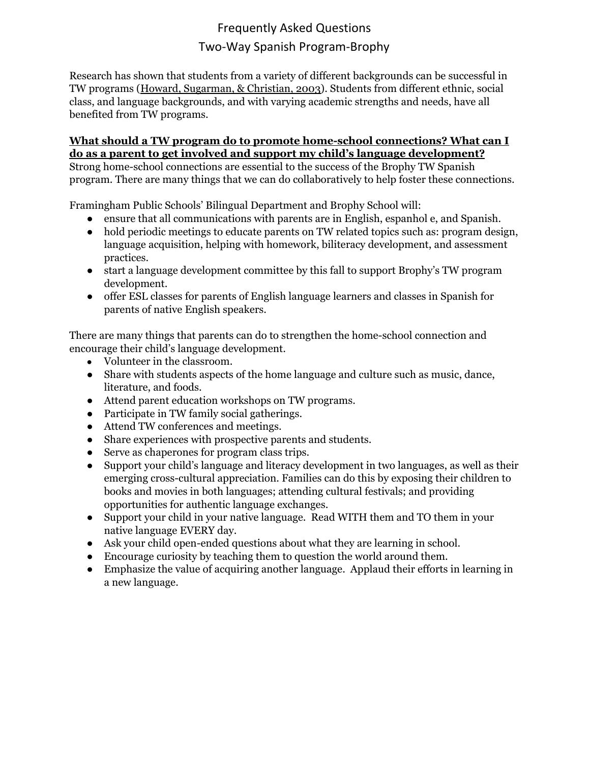Research has shown that students from a variety of different backgrounds can be successful in TW programs (Howard, [Sugarman,](http://www.cal.org/twi/toolkit/PI/PIreferences.htm#howardsug) & Christian, 2003). Students from different ethnic, social class, and language backgrounds, and with varying academic strengths and needs, have all benefited from TW programs.

#### **What should a TW program do to promote home-school [connections?](http://www.cal.org/twi/toolkit/PI/P_QA/parent_a8.htm) What can I do as a parent to get involved and support my child's language [development?](http://www.cal.org/twi/toolkit/PI/P_QA/parent_a8.htm)**

Strong home-school connections are essential to the success of the Brophy TW Spanish program. There are many things that we can do collaboratively to help foster these connections.

Framingham Public Schools' Bilingual Department and Brophy School will:

- ensure that all communications with parents are in English, espanhol e, and Spanish.
- hold periodic meetings to educate parents on TW related topics such as: program design, language acquisition, helping with homework, biliteracy development, and assessment practices.
- start a language development committee by this fall to support Brophy's TW program development.
- offer ESL classes for parents of English language learners and classes in Spanish for parents of native English speakers.

There are many things that parents can do to strengthen the home-school connection and encourage their child's language development.

- Volunteer in the classroom.
- Share with students aspects of the home language and culture such as music, dance, literature, and foods.
- Attend parent education workshops on TW programs.
- Participate in TW family social gatherings.
- Attend TW conferences and meetings.
- Share experiences with prospective parents and students.
- Serve as chaperones for program class trips.
- Support your child's language and literacy development in two languages, as well as their emerging cross-cultural appreciation. Families can do this by exposing their children to books and movies in both languages; attending cultural festivals; and providing opportunities for authentic language exchanges.
- Support your child in your native language. Read WITH them and TO them in your native language EVERY day.
- Ask your child open-ended questions about what they are learning in school.
- Encourage curiosity by teaching them to question the world around them.
- Emphasize the value of acquiring another language. Applaud their efforts in learning in a new language.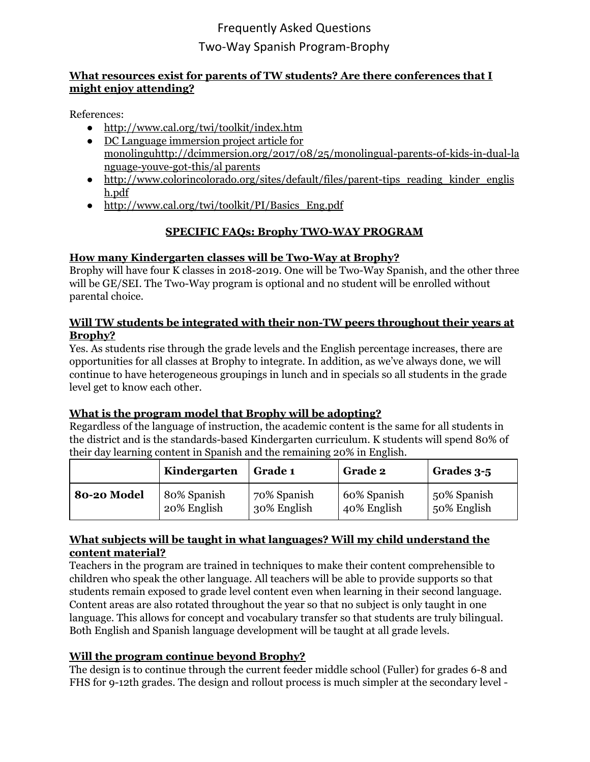#### **What resources exist for parents of TW students? Are there conferences that I might enjoy attending?**

References:

- <http://www.cal.org/twi/toolkit/index.htm>
- DC Language [immersion](http://dcimmersion.org/2017/08/25/monolingual-parents-of-kids-in-dual-language-youve-got-this/) project article for [monolinguhttp://dcimmersion.org/2017/08/25/monolingual-parents-of-kids-in-dual-la](http://dcimmersion.org/2017/08/25/monolingual-parents-of-kids-in-dual-language-youve-got-this/) [nguage-youve-got-this/al](http://dcimmersion.org/2017/08/25/monolingual-parents-of-kids-in-dual-language-youve-got-this/) parents
- http://www.colorincolorado.org/sites/default/files/parent-tips reading kinder englis [h.pdf](http://www.colorincolorado.org/sites/default/files/parent-tips_reading_kinder_english.pdf)
- http://www.cal.org/twi/toolkit/PI/Basics Eng.pdf

## **SPECIFIC FAQs: Brophy TWO-WAY PROGRAM**

#### **How many Kindergarten classes will be Two-Way at Brophy?**

Brophy will have four K classes in 2018-2019. One will be Two-Way Spanish, and the other three will be GE/SEI. The Two-Way program is optional and no student will be enrolled without parental choice.

#### **Will TW students be integrated with their non-TW peers throughout their years at Brophy?**

Yes. As students rise through the grade levels and the English percentage increases, there are opportunities for all classes at Brophy to integrate. In addition, as we've always done, we will continue to have heterogeneous groupings in lunch and in specials so all students in the grade level get to know each other.

#### **What is the program model that Brophy will be adopting?**

Regardless of the language of instruction, the academic content is the same for all students in the district and is the standards-based Kindergarten curriculum. K students will spend 80% of their day learning content in Spanish and the remaining 20% in English.

|             | Kindergarten | <b>Grade 1</b> | <b>Grade 2</b> | Grades 3-5  |
|-------------|--------------|----------------|----------------|-------------|
| 80-20 Model | 80% Spanish  | 70% Spanish    | 60% Spanish    | 50% Spanish |
|             | 20% English  | 30% English    | 40% English    | 50% English |

#### **What subjects will be taught in what languages? Will my child understand the content material?**

Teachers in the program are trained in techniques to make their content comprehensible to children who speak the other language. All teachers will be able to provide supports so that students remain exposed to grade level content even when learning in their second language. Content areas are also rotated throughout the year so that no subject is only taught in one language. This allows for concept and vocabulary transfer so that students are truly bilingual. Both English and Spanish language development will be taught at all grade levels.

## **Will the program continue beyond Brophy?**

The design is to continue through the current feeder middle school (Fuller) for grades 6-8 and FHS for 9-12th grades. The design and rollout process is much simpler at the secondary level -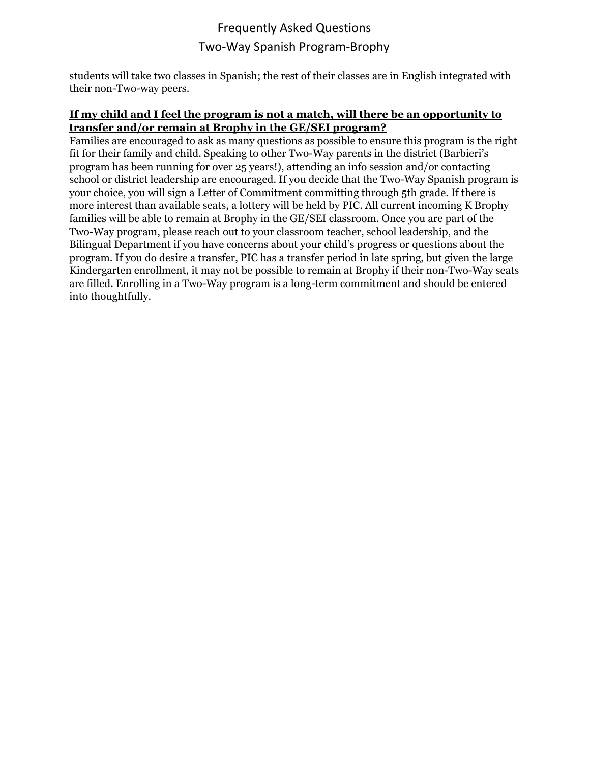students will take two classes in Spanish; the rest of their classes are in English integrated with their non-Two-way peers.

#### **If my child and I feel the program is not a match, will there be an opportunity to transfer and/or remain at Brophy in the GE/SEI program?**

Families are encouraged to ask as many questions as possible to ensure this program is the right fit for their family and child. Speaking to other Two-Way parents in the district (Barbieri's program has been running for over 25 years!), attending an info session and/or contacting school or district leadership are encouraged. If you decide that the Two-Way Spanish program is your choice, you will sign a Letter of Commitment committing through 5th grade. If there is more interest than available seats, a lottery will be held by PIC. All current incoming K Brophy families will be able to remain at Brophy in the GE/SEI classroom. Once you are part of the Two-Way program, please reach out to your classroom teacher, school leadership, and the Bilingual Department if you have concerns about your child's progress or questions about the program. If you do desire a transfer, PIC has a transfer period in late spring, but given the large Kindergarten enrollment, it may not be possible to remain at Brophy if their non-Two-Way seats are filled. Enrolling in a Two-Way program is a long-term commitment and should be entered into thoughtfully.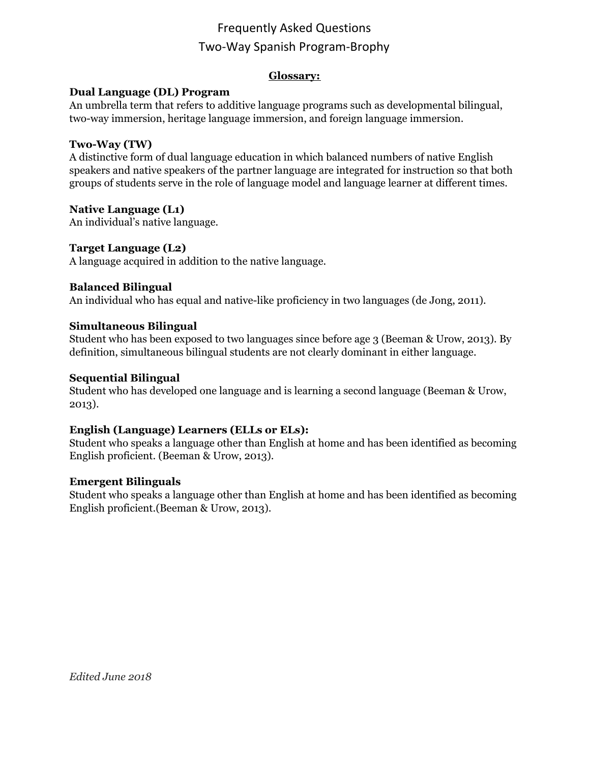#### **Glossary:**

#### **Dual Language (DL) Program**

An umbrella term that refers to additive language programs such as developmental bilingual, two-way immersion, heritage language immersion, and foreign language immersion.

#### **Two-Way (TW)**

A distinctive form of dual language education in which balanced numbers of native English speakers and native speakers of the partner language are integrated for instruction so that both groups of students serve in the role of language model and language learner at different times.

#### **Native Language (L1)**

An individual's native language.

#### **Target Language (L2)**

A language acquired in addition to the native language.

#### **Balanced Bilingual**

An individual who has equal and native-like proficiency in two languages (de Jong, 2011).

#### **Simultaneous Bilingual**

Student who has been exposed to two languages since before age 3 (Beeman & Urow, 2013). By definition, simultaneous bilingual students are not clearly dominant in either language.

#### **Sequential Bilingual**

Student who has developed one language and is learning a second language (Beeman & Urow, 2013).

#### **English (Language) Learners (ELLs or ELs):**

Student who speaks a language other than English at home and has been identified as becoming English proficient. (Beeman & Urow, 2013).

#### **Emergent Bilinguals**

Student who speaks a language other than English at home and has been identified as becoming English proficient.(Beeman & Urow, 2013).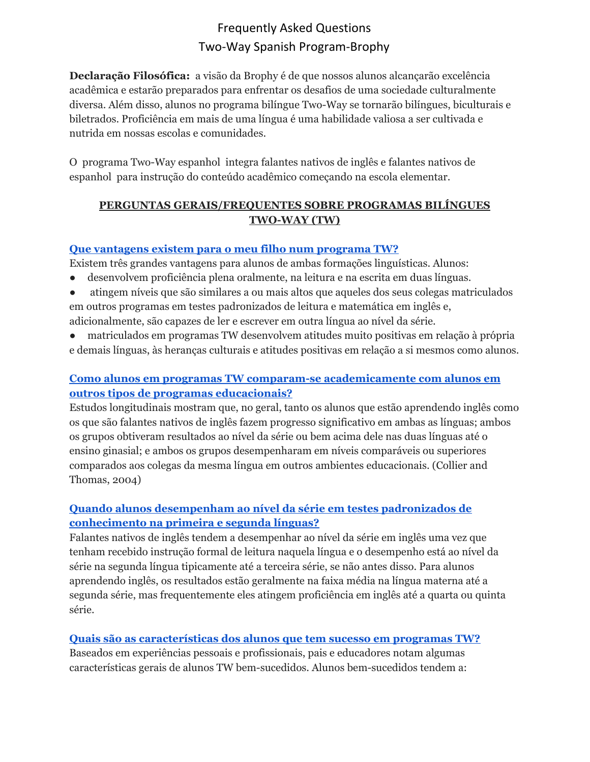**Declaração Filosófica:** a visão da Brophy é de que nossos alunos alcançarão excelência acadêmica e estarão preparados para enfrentar os desafios de uma sociedade culturalmente diversa. Além disso, alunos no programa bilíngue Two-Way se tornarão bilíngues, biculturais e biletrados. Proficiência em mais de uma língua é uma habilidade valiosa a ser cultivada e nutrida em nossas escolas e comunidades.

O programa Two-Way espanhol integra falantes nativos de inglês e falantes nativos de espanhol para instrução do conteúdo acadêmico começando na escola elementar.

### **PERGUNTAS GERAIS/FREQUENTES SOBRE PROGRAMAS BILÍNGUES TWO-WAY (TW)**

#### **Que [vantagens](http://www.cal.org/twi/toolkit/PI/P_QA/parent_a1.htm) existem para o meu filho num programa TW?**

Existem três grandes vantagens para alunos de ambas formações linguísticas. Alunos:

- desenvolvem proficiência plena oralmente, na leitura e na escrita em duas línguas.
- atingem níveis que são similares a ou mais altos que aqueles dos seus colegas matriculados em outros programas em testes padronizados de leitura e matemática em inglês e, adicionalmente, são capazes de ler e escrever em outra língua ao nível da série.
- matriculados em programas TW desenvolvem atitudes muito positivas em relação à própria e demais línguas, às heranças culturais e atitudes positivas em relação a si mesmos como alunos.

## **Como alunos em programas TW comparam-se [academicamente](http://www.cal.org/twi/toolkit/PI/P_QA/parent_a2.htm) com alunos em outros tipos de programas [educacionais?](http://www.cal.org/twi/toolkit/PI/P_QA/parent_a2.htm)**

Estudos longitudinais mostram que, no geral, tanto os alunos que estão aprendendo inglês como os que são falantes nativos de inglês fazem progresso significativo em ambas as línguas; ambos os grupos obtiveram resultados ao nível da série ou bem acima dele nas duas línguas até o ensino ginasial; e ambos os grupos desempenharam em níveis comparáveis ou superiores comparados aos colegas da mesma língua em outros ambientes educacionais. (Collier and Thomas, 2004)

## **Quando alunos [desempenham](http://www.cal.org/twi/toolkit/PI/P_QA/parent_a3.htm) ao nível da série em testes padronizados de [conhecimento](http://www.cal.org/twi/toolkit/PI/P_QA/parent_a3.htm) na primeira e segunda línguas?**

Falantes nativos de inglês tendem a desempenhar ao nível da série em inglês uma vez que tenham recebido instrução formal de leitura naquela língua e o desempenho está ao nível da série na segunda língua tipicamente até a terceira série, se não antes disso. Para alunos aprendendo inglês, os resultados estão geralmente na faixa média na língua materna até a segunda série, mas frequentemente eles atingem proficiência em inglês até a quarta ou quinta série.

## **Quais são as [características](http://www.cal.org/twi/toolkit/PI/P_QA/parent_a5.htm) dos alunos que tem sucesso em programas TW?**

Baseados em experiências pessoais e profissionais, pais e educadores notam algumas características gerais de alunos TW bem-sucedidos. Alunos bem-sucedidos tendem a: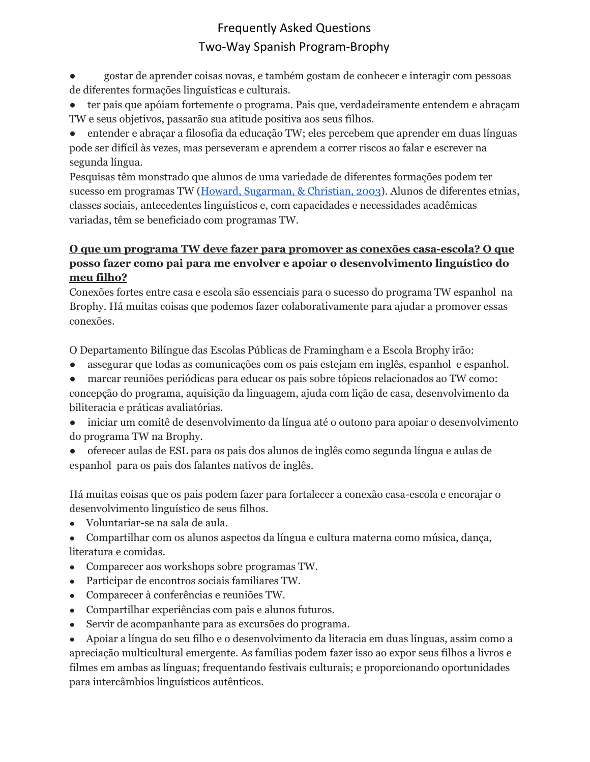● gostar de aprender coisas novas, e também gostam de conhecer e interagir com pessoas de diferentes formações linguísticas e culturais.

- ter pais que apóiam fortemente o programa. Pais que, verdadeiramente entendem e abraçam TW e seus objetivos, passarão sua atitude positiva aos seus filhos.
- entender e abraçar a filosofia da educação TW; eles percebem que aprender em duas línguas pode ser difícil às vezes, mas perseveram e aprendem a correr riscos ao falar e escrever na segunda língua.

Pesquisas têm monstrado que alunos de uma variedade de diferentes formações podem ter sucesso em programas TW (Howard, [Sugarman,](http://www.cal.org/twi/toolkit/PI/PIreferences.htm#howardsug) & Christian, 2003). Alunos de diferentes etnias, classes sociais, antecedentes linguísticos e, com capacidades e necessidades acadêmicas variadas, têm se beneficiado com programas TW.

## **O que um programa TW deve fazer para promover as conexões casa-escola? O que posso fazer como pai para me envolver e apoiar o desenvolvimento linguístico do meu filho?**

Conexões fortes entre casa e escola são essenciais para o sucesso do programa TW espanhol na Brophy. Há muitas coisas que podemos fazer colaborativamente para ajudar a promover essas conexões.

O Departamento Bilíngue das Escolas Públicas de Framingham e a Escola Brophy irão:

- assegurar que todas as comunicações com os pais estejam em inglês, espanhol e espanhol.
- marcar reuniões periódicas para educar os pais sobre tópicos relacionados ao TW como:

concepção do programa, aquisição da linguagem, ajuda com lição de casa, desenvolvimento da biliteracia e práticas avaliatórias.

- iniciar um comitê de desenvolvimento da língua até o outono para apoiar o desenvolvimento do programa TW na Brophy.
- oferecer aulas de ESL para os pais dos alunos de inglês como segunda língua e aulas de espanhol para os pais dos falantes nativos de inglês.

Há muitas coisas que os pais podem fazer para fortalecer a conexão casa-escola e encorajar o desenvolvimento linguístico de seus filhos.

● Voluntariar-se na sala de aula.

● Compartilhar com os alunos aspectos da língua e cultura materna como música, dança, literatura e comidas.

- Comparecer aos workshops sobre programas TW.
- Participar de encontros sociais familiares TW.
- Comparecer à conferências e reuniões TW.
- Compartilhar experiências com pais e alunos futuros.
- Servir de acompanhante para as excursões do programa.

● Apoiar a língua do seu filho e o desenvolvimento da literacia em duas línguas, assim como a apreciação multicultural emergente. As famílias podem fazer isso ao expor seus filhos a livros e filmes em ambas as línguas; frequentando festivais culturais; e proporcionando oportunidades para intercâmbios linguísticos autênticos.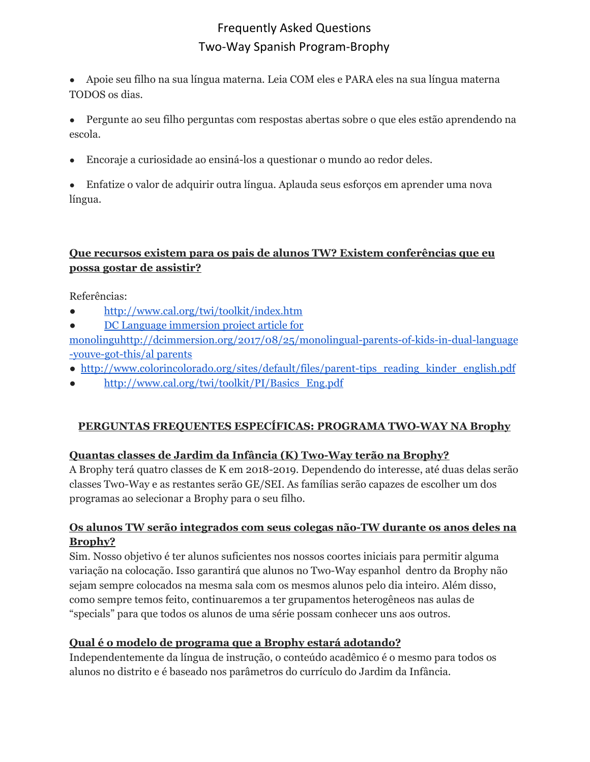- Apoie seu filho na sua língua materna. Leia COM eles e PARA eles na sua língua materna TODOS os dias.
- Pergunte ao seu filho perguntas com respostas abertas sobre o que eles estão aprendendo na escola.
- Encoraje a curiosidade ao ensiná-los a questionar o mundo ao redor deles.
- Enfatize o valor de adquirir outra língua. Aplauda seus esforços em aprender uma nova língua.

### **Que recursos existem para os pais de alunos TW? Existem conferências que eu possa gostar de assistir?**

Referências:

- <http://www.cal.org/twi/toolkit/index.htm>
- DC Language [immersion](http://dcimmersion.org/2017/08/25/monolingual-parents-of-kids-in-dual-language-youve-got-this/) project article for

[monolinguhttp://dcimmersion.org/2017/08/25/monolingual-parents-of-kids-in-dual-language](http://dcimmersion.org/2017/08/25/monolingual-parents-of-kids-in-dual-language-youve-got-this/) [-youve-got-this/al](http://dcimmersion.org/2017/08/25/monolingual-parents-of-kids-in-dual-language-youve-got-this/) parents

- [http://www.colorincolorado.org/sites/default/files/parent-tips\\_reading\\_kinder\\_english.pdf](http://www.colorincolorado.org/sites/default/files/parent-tips_reading_kinder_english.pdf)
- [http://www.cal.org/twi/toolkit/PI/Basics\\_Eng.pdf](http://www.cal.org/twi/toolkit/PI/Basics_Eng.pdf)

## **PERGUNTAS FREQUENTES ESPECÍFICAS: PROGRAMA TWO-WAY NA Brophy**

## **Quantas classes de Jardim da Infância (K) Two-Way terão na Brophy?**

A Brophy terá quatro classes de K em 2018-2019. Dependendo do interesse, até duas delas serão classes Tw0-Way e as restantes serão GE/SEI. As famílias serão capazes de escolher um dos programas ao selecionar a Brophy para o seu filho.

#### **Os alunos TW serão integrados com seus colegas não-TW durante os anos deles na Brophy?**

Sim. Nosso objetivo é ter alunos suficientes nos nossos coortes iniciais para permitir alguma variação na colocação. Isso garantirá que alunos no Two-Way espanhol dentro da Brophy não sejam sempre colocados na mesma sala com os mesmos alunos pelo dia inteiro. Além disso, como sempre temos feito, continuaremos a ter grupamentos heterogêneos nas aulas de "specials" para que todos os alunos de uma série possam conhecer uns aos outros.

## **Qual é o modelo de programa que a Brophy estará adotando?**

Independentemente da língua de instrução, o conteúdo acadêmico é o mesmo para todos os alunos no distrito e é baseado nos parâmetros do currículo do Jardim da Infância.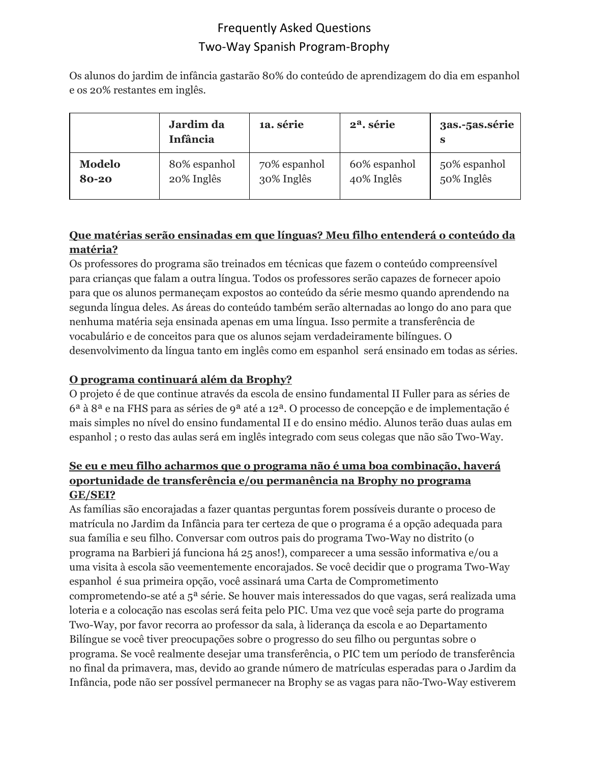Os alunos do jardim de infância gastarão 80% do conteúdo de aprendizagem do dia em espanhol e os 20% restantes em inglês.

|               | Jardim da<br>Infância | 1a. série    | 2 <sup>a</sup> . série | 3as.-5as.série<br>S |
|---------------|-----------------------|--------------|------------------------|---------------------|
| <b>Modelo</b> | 80% espanhol          | 70% espanhol | 60% espanhol           | 50% espanhol        |
| 80-20         | 20% Inglês            | 30% Inglês   | 40% Inglês             | 50% Inglês          |

## **Que matérias serão ensinadas em que línguas? Meu filho entenderá o conteúdo da matéria?**

Os professores do programa são treinados em técnicas que fazem o conteúdo compreensível para crianças que falam a outra língua. Todos os professores serão capazes de fornecer apoio para que os alunos permaneçam expostos ao conteúdo da série mesmo quando aprendendo na segunda língua deles. As áreas do conteúdo também serão alternadas ao longo do ano para que nenhuma matéria seja ensinada apenas em uma língua. Isso permite a transferência de vocabulário e de conceitos para que os alunos sejam verdadeiramente bilíngues. O desenvolvimento da língua tanto em inglês como em espanhol será ensinado em todas as séries.

## **O programa continuará além da Brophy?**

O projeto é de que continue através da escola de ensino fundamental II Fuller para as séries de 6ª à 8ª e na FHS para as séries de 9ª até a 12ª. O processo de concepção e de implementação é mais simples no nível do ensino fundamental II e do ensino médio. Alunos terão duas aulas em espanhol ; o resto das aulas será em inglês integrado com seus colegas que não são Two-Way.

## **Se eu e meu filho acharmos que o programa não é uma boa combinação, haverá oportunidade de transferência e/ou permanência na Brophy no programa GE/SEI?**

As famílias são encorajadas a fazer quantas perguntas forem possíveis durante o proceso de matrícula no Jardim da Infância para ter certeza de que o programa é a opção adequada para sua família e seu filho. Conversar com outros pais do programa Two-Way no distrito (o programa na Barbieri já funciona há 25 anos!), comparecer a uma sessão informativa e/ou a uma visita à escola são veementemente encorajados. Se você decidir que o programa Two-Way espanhol é sua primeira opção, você assinará uma Carta de Comprometimento comprometendo-se até a 5ª série. Se houver mais interessados do que vagas, será realizada uma loteria e a colocação nas escolas será feita pelo PIC. Uma vez que você seja parte do programa Two-Way, por favor recorra ao professor da sala, à liderança da escola e ao Departamento Bilíngue se você tiver preocupações sobre o progresso do seu filho ou perguntas sobre o programa. Se você realmente desejar uma transferência, o PIC tem um período de transferência no final da primavera, mas, devido ao grande número de matrículas esperadas para o Jardim da Infância, pode não ser possível permanecer na Brophy se as vagas para não-Two-Way estiverem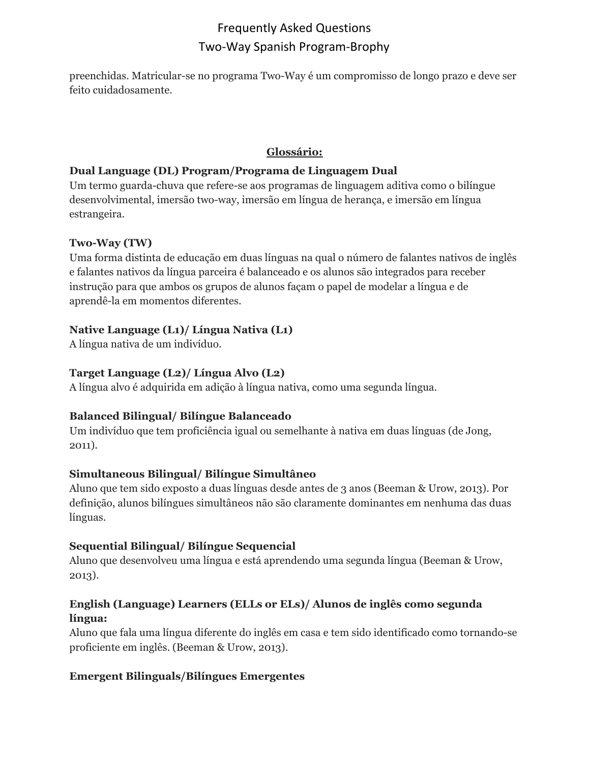preenchidas. Matricular-se no programa Two-Way é um compromisso de longo prazo e deve ser feito cuidadosamente.

#### **Glossário:**

#### **Dual Language (DL) Program/Programa de Linguagem Dual**

Um termo guarda-chuva que refere-se aos programas de linguagem aditiva como o bilíngue desenvolvimental, imersão two-way, imersão em língua de herança, e imersão em língua estrangeira.

#### **Two-Way (TW)**

Uma forma distinta de educação em duas línguas na qual o número de falantes nativos de inglês e falantes nativos da língua parceira é balanceado e os alunos são integrados para receber instrução para que ambos os grupos de alunos façam o papel de modelar a língua e de aprendê-la em momentos diferentes.

## **Native Language (L1)/ Língua Nativa (L1)**

A língua nativa de um indivíduo.

## **Target Language (L2)/ Língua Alvo (L2)**

A língua alvo é adquirida em adição à língua nativa, como uma segunda língua.

## **Balanced Bilingual/ Bilíngue Balanceado**

Um indivíduo que tem proficiência igual ou semelhante à nativa em duas línguas (de Jong, 2011).

## **Simultaneous Bilingual/ Bilíngue Simultâneo**

Aluno que tem sido exposto a duas línguas desde antes de 3 anos (Beeman & Urow, 2013). Por definição, alunos bilíngues simultâneos não são claramente dominantes em nenhuma das duas línguas.

## **Sequential Bilingual/ Bilíngue Sequencial**

Aluno que desenvolveu uma língua e está aprendendo uma segunda língua (Beeman & Urow, 2013).

## **English (Language) Learners (ELLs or ELs)/ Alunos de inglês como segunda língua:**

Aluno que fala uma língua diferente do inglês em casa e tem sido identificado como tornando-se proficiente em inglês. (Beeman & Urow, 2013).

## **Emergent Bilinguals/Bilíngues Emergentes**